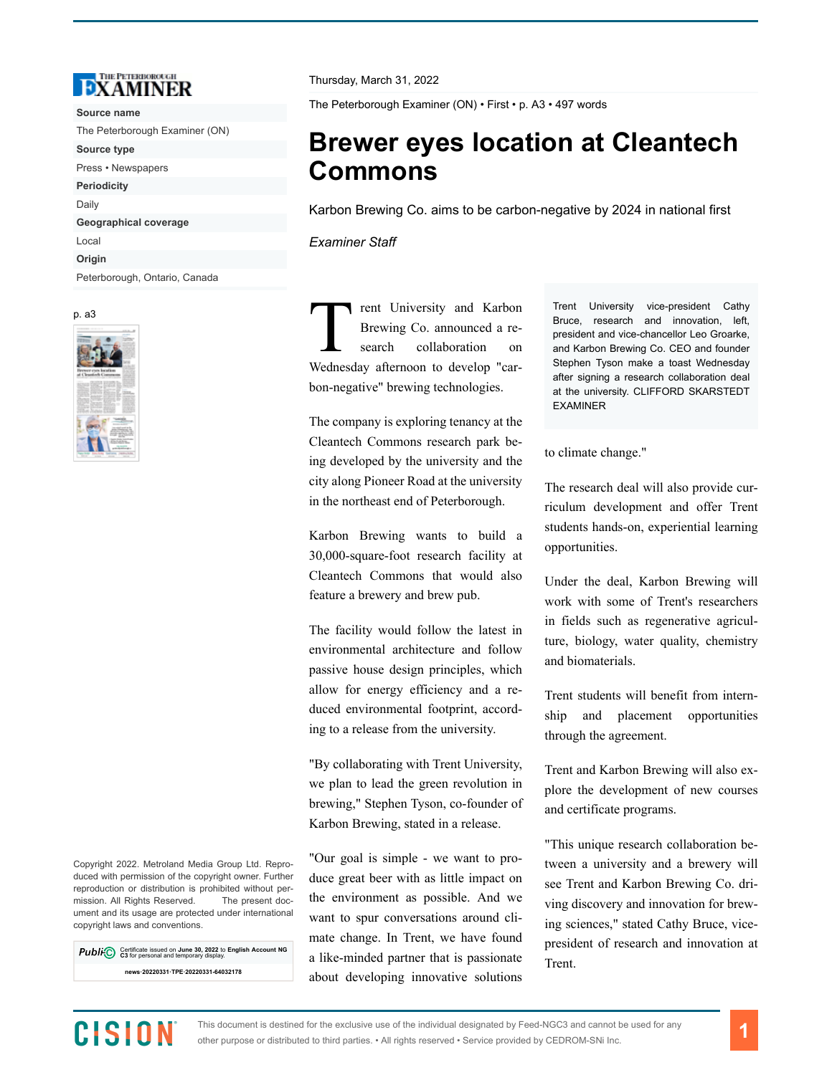

**Source name** The Peterborough Examiner (ON) **Source type** Press • Newspapers **Periodicity** Daily **Geographical coverage** Local **Origin** Peterborough, Ontario, Canada

p. a3



Copyright 2022. Metroland Media Group Ltd. Reproduced with permission of the copyright owner. Further reproduction or distribution is prohibited without permission. All Rights Reserved. The present document and its usage are protected under international copyright laws and conventions.

Certificate issued on **June 30, 2022** to **English Account NG C3** for personal and temporary display. **news·20220331·TPE·20220331-64032178**

Thursday, March 31, 2022

The Peterborough Examiner (ON) • First • p. A3 • 497 words

## **Brewer eyes location at Cleantech Commons**

Karbon Brewing Co. aims to be carbon-negative by 2024 in national first

*Examiner Staff*

T rent University and Karbon Brewing Co. announced a research collaboration on Wednesday afternoon to develop "carbon-negative" brewing technologies.

The company is exploring tenancy at the Cleantech Commons research park being developed by the university and the city along Pioneer Road at the university in the northeast end of Peterborough.

Karbon Brewing wants to build a 30,000-square-foot research facility at Cleantech Commons that would also feature a brewery and brew pub.

The facility would follow the latest in environmental architecture and follow passive house design principles, which allow for energy efficiency and a reduced environmental footprint, according to a release from the university.

"By collaborating with Trent University, we plan to lead the green revolution in brewing," Stephen Tyson, co-founder of Karbon Brewing, stated in a release.

"Our goal is simple - we want to produce great beer with as little impact on the environment as possible. And we want to spur conversations around climate change. In Trent, we have found a like-minded partner that is passionate about developing innovative solutions Trent University vice-president Cathy Bruce, research and innovation. left. president and vice-chancellor Leo Groarke, and Karbon Brewing Co. CEO and founder Stephen Tyson make a toast Wednesday after signing a research collaboration deal at the university. CLIFFORD SKARSTEDT EXAMINER

to climate change."

The research deal will also provide curriculum development and offer Trent students hands-on, experiential learning opportunities.

Under the deal, Karbon Brewing will work with some of Trent's researchers in fields such as regenerative agriculture, biology, water quality, chemistry and biomaterials.

Trent students will benefit from internship and placement opportunities through the agreement.

Trent and Karbon Brewing will also explore the development of new courses and certificate programs.

"This unique research collaboration between a university and a brewery will see Trent and Karbon Brewing Co. driving discovery and innovation for brewing sciences," stated Cathy Bruce, vicepresident of research and innovation at Trent.

## CISION

This document is destined for the exclusive use of the individual designated by Feed-NGC3 and cannot be used for any other purpose or distributed to third parties. • All rights reserved • Service provided by CEDROM-SNi Inc.

**1**